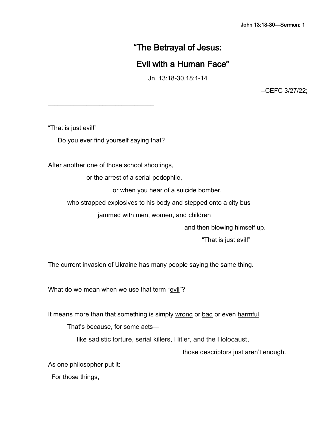# "The Betrayal of Jesus:

# Evil with a Human Face"

Jn. 13:18-30,18:1-14

--CEFC 3/27/22;

"That is just evil!"

Do you ever find yourself saying that?

\_\_\_\_\_\_\_\_\_\_\_\_\_\_\_\_\_\_\_\_\_\_\_\_\_\_\_\_\_\_\_\_\_

After another one of those school shootings,

or the arrest of a serial pedophile,

or when you hear of a suicide bomber,

who strapped explosives to his body and stepped onto a city bus

jammed with men, women, and children

and then blowing himself up.

"That is just evil!"

The current invasion of Ukraine has many people saying the same thing.

What do we mean when we use that term "evil"?

It means more than that something is simply wrong or bad or even harmful.

That's because, for some acts—

like sadistic torture, serial killers, Hitler, and the Holocaust,

those descriptors just aren't enough.

As one philosopher put it:

For those things,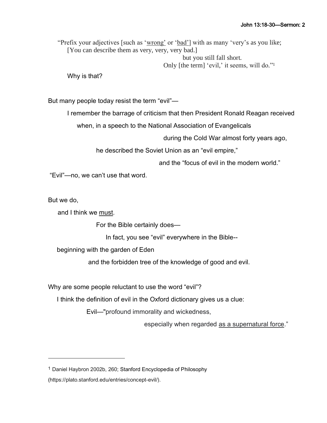"Prefix your adjectives [such as 'wrong' or 'bad'] with as many 'very's as you like; [You can describe them as very, very, very bad.]

> but you still fall short. Only [the term] 'evil,' it seems, will do."<sup>1</sup>

Why is that?

But many people today resist the term "evil"—

I remember the barrage of criticism that then President Ronald Reagan received

when, in a speech to the National Association of Evangelicals

during the Cold War almost forty years ago,

he described the Soviet Union as an "evil empire,"

and the "focus of evil in the modern world."

"Evil"—no, we can't use that word.

But we do,

and I think we must.

For the Bible certainly does—

In fact, you see "evil" everywhere in the Bible--

beginning with the garden of Eden

and the forbidden tree of the knowledge of good and evil.

Why are some people reluctant to use the word "evil"?

I think the definition of evil in the Oxford dictionary gives us a clue:

Evil—"profound immorality and wickedness,

especially when regarded as a supernatural force."

<sup>1</sup> Daniel Haybron 2002b, 260; [Stanford Encyclopedia of Philosophy](https://plato.stanford.edu/index.html)

<sup>(</sup>https://plato.stanford.edu/entries/concept-evil/).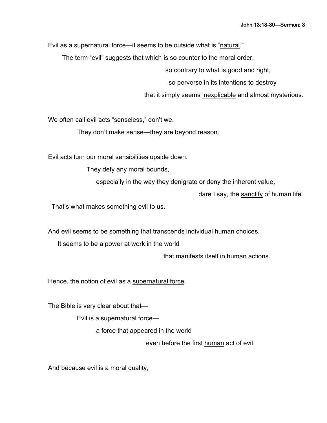Evil as a supernatural force—it seems to be outside what is "natural."

The term "evil" suggests that which is so counter to the moral order,

so contrary to what is good and right,

so perverse in its intentions to destroy

that it simply seems inexplicable and almost mysterious.

We often call evil acts "senseless," don't we.

They don't make sense—they are beyond reason.

Evil acts turn our moral sensibilities upside down.

They defy any moral bounds,

especially in the way they denigrate or deny the inherent value,

dare I say, the sanctify of human life.

That's what makes something evil to us.

And evil seems to be something that transcends individual human choices.

It seems to be a power at work in the world

that manifests itself in human actions.

Hence, the notion of evil as a supernatural force.

The Bible is very clear about that—

Evil is a supernatural force—

a force that appeared in the world

even before the first human act of evil.

And because evil is a moral quality,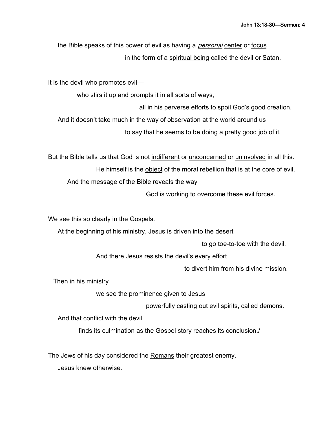the Bible speaks of this power of evil as having a *personal* center or focus in the form of a spiritual being called the devil or Satan.

It is the devil who promotes evil—

who stirs it up and prompts it in all sorts of ways,

all in his perverse efforts to spoil God's good creation.

And it doesn't take much in the way of observation at the world around us

to say that he seems to be doing a pretty good job of it.

But the Bible tells us that God is not indifferent or unconcerned or uninvolved in all this. He himself is the object of the moral rebellion that is at the core of evil. And the message of the Bible reveals the way

God is working to overcome these evil forces.

We see this so clearly in the Gospels.

At the beginning of his ministry, Jesus is driven into the desert

to go toe-to-toe with the devil,

And there Jesus resists the devil's every effort

to divert him from his divine mission.

Then in his ministry

we see the prominence given to Jesus

powerfully casting out evil spirits, called demons.

And that conflict with the devil

finds its culmination as the Gospel story reaches its conclusion./

The Jews of his day considered the Romans their greatest enemy.

Jesus knew otherwise.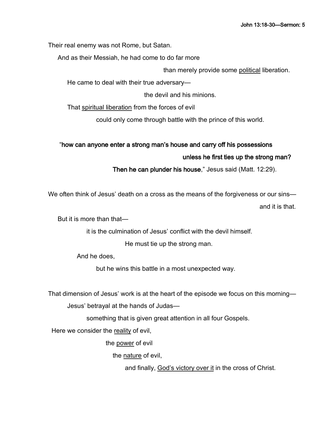Their real enemy was not Rome, but Satan.

And as their Messiah, he had come to do far more

than merely provide some political liberation.

He came to deal with their true adversary—

the devil and his minions.

That spiritual liberation from the forces of evil

could only come through battle with the prince of this world.

# "how can anyone enter a strong man's house and carry off his possessions

# unless he first ties up the strong man?

Then he can plunder his house," Jesus said (Matt. 12:29).

We often think of Jesus' death on a cross as the means of the forgiveness or our sins—

and it is that.

But it is more than that—

it is the culmination of Jesus' conflict with the devil himself.

He must tie up the strong man.

And he does,

but he wins this battle in a most unexpected way.

That dimension of Jesus' work is at the heart of the episode we focus on this morning— Jesus' betrayal at the hands of Judas—

something that is given great attention in all four Gospels.

Here we consider the reality of evil,

the power of evil

the nature of evil,

and finally, God's victory over it in the cross of Christ.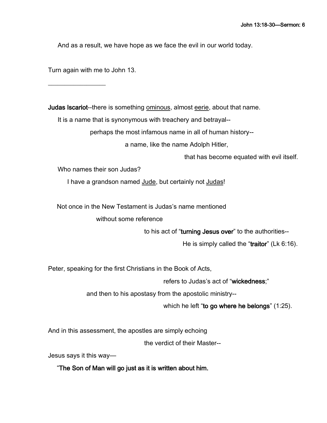And as a result, we have hope as we face the evil in our world today.

Turn again with me to John 13.

 $\_$ 

Judas Iscariot--there is something ominous, almost eerie, about that name.

It is a name that is synonymous with treachery and betrayal--

perhaps the most infamous name in all of human history--

a name, like the name Adolph Hitler,

that has become equated with evil itself.

Who names their son Judas?

I have a grandson named Jude, but certainly not Judas!

Not once in the New Testament is Judas's name mentioned

without some reference

to his act of "turning Jesus over" to the authorities--

He is simply called the "traitor" (Lk 6:16).

Peter, speaking for the first Christians in the Book of Acts,

refers to Judas's act of "wickedness;"

and then to his apostasy from the apostolic ministry--

which he left "to go where he belongs" (1:25).

And in this assessment, the apostles are simply echoing

the verdict of their Master--

Jesus says it this way—

"The Son of Man will go just as it is written about him.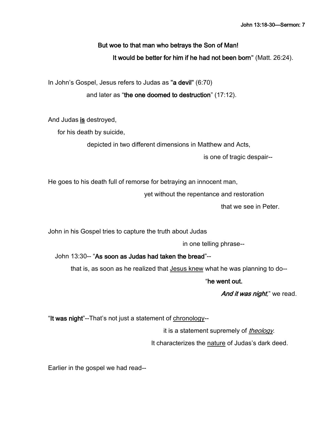# But woe to that man who betrays the Son of Man! It would be better for him if he had not been born" (Matt. 26:24).

In John's Gospel, Jesus refers to Judas as "a devil" (6:70)

and later as "the one doomed to destruction" (17:12).

And Judas is destroyed,

for his death by suicide,

depicted in two different dimensions in Matthew and Acts,

is one of tragic despair--

He goes to his death full of remorse for betraying an innocent man,

yet without the repentance and restoration

that we see in Peter.

John in his Gospel tries to capture the truth about Judas

in one telling phrase--

John 13:30-- "As soon as Judas had taken the bread"--

that is, as soon as he realized that Jesus knew what he was planning to do--

"he went out.

And it was night," we read.

"It was night"--That's not just a statement of chronology--

it is a statement supremely of *theology*.

It characterizes the nature of Judas's dark deed.

Earlier in the gospel we had read--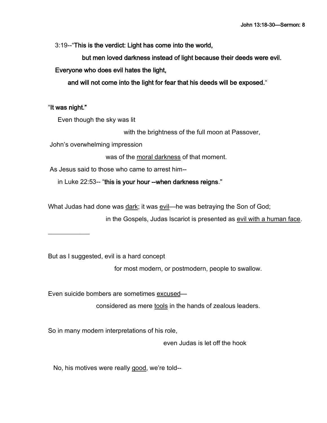3:19--"This is the verdict: Light has come into the world,

but men loved darkness instead of light because their deeds were evil.

Everyone who does evil hates the light,

and will not come into the light for fear that his deeds will be exposed."

"It was night."

 $\frac{1}{2}$ 

Even though the sky was lit

with the brightness of the full moon at Passover,

John's overwhelming impression

was of the moral darkness of that moment.

As Jesus said to those who came to arrest him--

in Luke 22:53-- "this is your hour --when darkness reigns."

What Judas had done was dark; it was evil—he was betraying the Son of God;

in the Gospels, Judas Iscariot is presented as evil with a human face.

But as I suggested, evil is a hard concept

for most modern, or postmodern, people to swallow.

Even suicide bombers are sometimes excused—

considered as mere tools in the hands of zealous leaders.

So in many modern interpretations of his role,

even Judas is let off the hook

No, his motives were really good, we're told--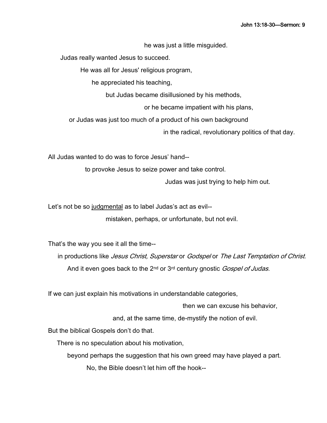he was just a little misguided.

Judas really wanted Jesus to succeed.

He was all for Jesus' religious program,

he appreciated his teaching,

but Judas became disillusioned by his methods,

or he became impatient with his plans,

or Judas was just too much of a product of his own background

in the radical, revolutionary politics of that day.

All Judas wanted to do was to force Jesus' hand--

to provoke Jesus to seize power and take control.

Judas was just trying to help him out.

Let's not be so judgmental as to label Judas's act as evil- mistaken, perhaps, or unfortunate, but not evil.

That's the way you see it all the time--

in productions like *Jesus Christ, Superstar* or *Godspel* or The Last Temptation of Christ. And it even goes back to the 2<sup>nd</sup> or 3<sup>rd</sup> century gnostic Gospel of Judas.

If we can just explain his motivations in understandable categories,

then we can excuse his behavior,

and, at the same time, de-mystify the notion of evil.

But the biblical Gospels don't do that.

There is no speculation about his motivation,

beyond perhaps the suggestion that his own greed may have played a part.

No, the Bible doesn't let him off the hook--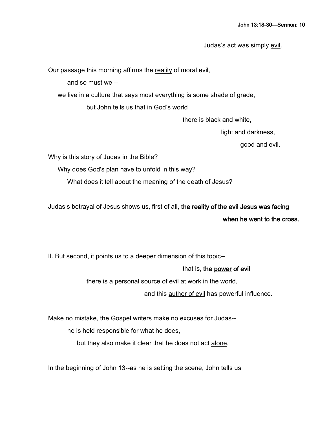Judas's act was simply evil.

Our passage this morning affirms the reality of moral evil,

and so must we --

we live in a culture that says most everything is some shade of grade,

but John tells us that in God's world

there is black and white,

light and darkness,

good and evil.

Why is this story of Judas in the Bible?

 $\frac{1}{2}$ 

Why does God's plan have to unfold in this way?

What does it tell about the meaning of the death of Jesus?

Judas's betrayal of Jesus shows us, first of all, the reality of the evil Jesus was facing

when he went to the cross.

II. But second, it points us to a deeper dimension of this topic--

that is, the power of evil—

there is a personal source of evil at work in the world,

and this author of evil has powerful influence.

Make no mistake, the Gospel writers make no excuses for Judas--

he is held responsible for what he does,

but they also make it clear that he does not act alone.

In the beginning of John 13--as he is setting the scene, John tells us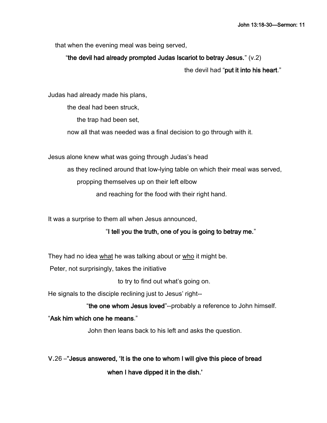that when the evening meal was being served,

# "the devil had already prompted Judas Iscariot to betray Jesus." (v.2)

the devil had "put it into his heart."

Judas had already made his plans,

the deal had been struck,

the trap had been set,

now all that was needed was a final decision to go through with it.

Jesus alone knew what was going through Judas's head

as they reclined around that low-lying table on which their meal was served,

propping themselves up on their left elbow

and reaching for the food with their right hand.

It was a surprise to them all when Jesus announced,

# "I tell you the truth, one of you is going to betray me."

They had no idea what he was talking about or who it might be.

Peter, not surprisingly, takes the initiative

to try to find out what's going on.

He signals to the disciple reclining just to Jesus' right--

"the one whom Jesus loved"--probably a reference to John himself.

# "Ask him which one he means."

John then leans back to his left and asks the question.

v.26 –"Jesus answered, 'It is the one to whom I will give this piece of bread

when I have dipped it in the dish.'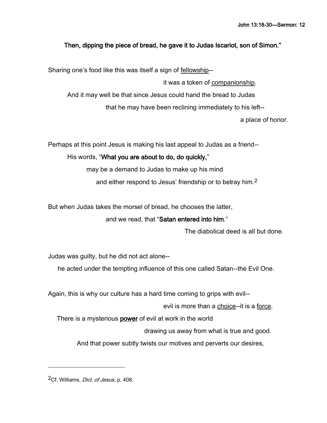# Then, dipping the piece of bread, he gave it to Judas Iscariot, son of Simon."

Sharing one's food like this was itself a sign of fellowship--

it was a token of companionship. And it may well be that since Jesus could hand the bread to Judas that he may have been reclining immediately to his left--

a place of honor.

Perhaps at this point Jesus is making his last appeal to Judas as a friend--

His words, "What you are about to do, do quickly,"

may be a demand to Judas to make up his mind

and either respond to Jesus' friendship or to betray him.2

But when Judas takes the morsel of bread, he chooses the latter,

and we read, that "Satan entered into him."

The diabolical deed is all but done.

Judas was guilty, but he did not act alone--

he acted under the tempting influence of this one called Satan--the Evil One.

Again, this is why our culture has a hard time coming to grips with evil--

evil is more than a choice--it is a force.

There is a mysterious power of evil at work in the world

drawing us away from what is true and good.

And that power subtly twists our motives and perverts our desires,

2Cf. Williams, Dict. of Jesus, p. 408.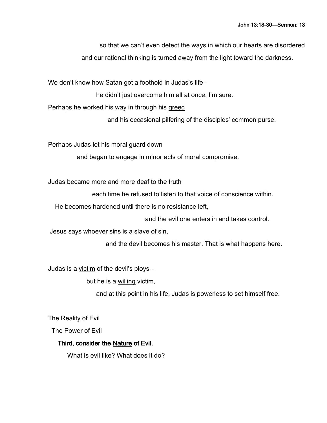so that we can't even detect the ways in which our hearts are disordered and our rational thinking is turned away from the light toward the darkness.

We don't know how Satan got a foothold in Judas's life--

he didn't just overcome him all at once, I'm sure.

Perhaps he worked his way in through his greed

and his occasional pilfering of the disciples' common purse.

Perhaps Judas let his moral guard down

and began to engage in minor acts of moral compromise.

Judas became more and more deaf to the truth

each time he refused to listen to that voice of conscience within.

He becomes hardened until there is no resistance left,

and the evil one enters in and takes control.

Jesus says whoever sins is a slave of sin,

and the devil becomes his master. That is what happens here.

Judas is a victim of the devil's ploys--

but he is a willing victim,

and at this point in his life, Judas is powerless to set himself free.

The Reality of Evil

The Power of Evil

# Third, consider the Nature of Evil.

What is evil like? What does it do?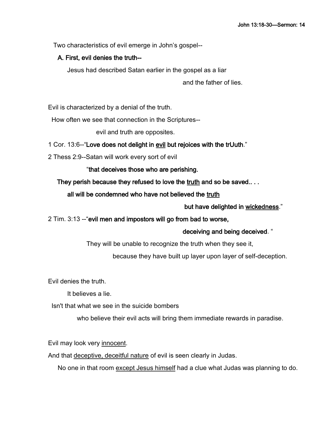Two characteristics of evil emerge in John's gospel--

#### A. First, evil denies the truth--

Jesus had described Satan earlier in the gospel as a liar

and the father of lies.

Evil is characterized by a denial of the truth.

How often we see that connection in the Scriptures--

evil and truth are opposites.

#### 1 Cor. 13:6--"Love does not delight in evil but rejoices with the trUuth."

2 Thess 2:9--Satan will work every sort of evil

"that deceives those who are perishing.

#### They perish because they refused to love the truth and so be saved...

#### all will be condemned who have not believed the truth

#### but have delighted in wickedness."

#### 2 Tim. 3:13 --"evil men and impostors will go from bad to worse,

#### deceiving and being deceived. "

They will be unable to recognize the truth when they see it,

because they have built up layer upon layer of self-deception.

Evil denies the truth.

It believes a lie.

Isn't that what we see in the suicide bombers

who believe their evil acts will bring them immediate rewards in paradise.

Evil may look very innocent.

And that deceptive, deceitful nature of evil is seen clearly in Judas.

No one in that room except Jesus himself had a clue what Judas was planning to do.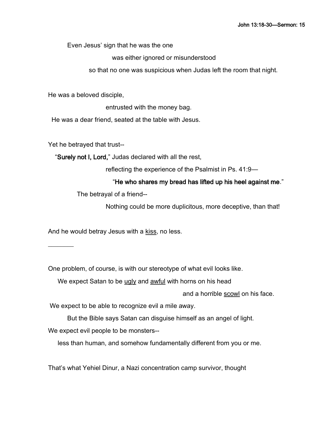Even Jesus' sign that he was the one

was either ignored or misunderstood

so that no one was suspicious when Judas left the room that night.

He was a beloved disciple,

entrusted with the money bag.

He was a dear friend, seated at the table with Jesus.

Yet he betrayed that trust--

"Surely not I, Lord," Judas declared with all the rest,

reflecting the experience of the Psalmist in Ps. 41:9—

### "He who shares my bread has lifted up his heel against me."

The betrayal of a friend--

Nothing could be more duplicitous, more deceptive, than that!

And he would betray Jesus with a kiss, no less.

 $\overline{\phantom{a}}$ 

One problem, of course, is with our stereotype of what evil looks like.

We expect Satan to be ugly and awful with horns on his head

and a horrible scowl on his face.

We expect to be able to recognize evil a mile away.

But the Bible says Satan can disguise himself as an angel of light.

We expect evil people to be monsters--

less than human, and somehow fundamentally different from you or me.

That's what Yehiel Dinur, a Nazi concentration camp survivor, thought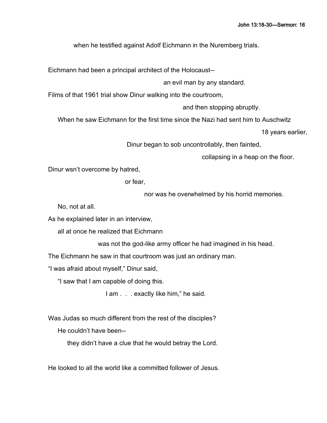when he testified against Adolf Eichmann in the Nuremberg trials.

Eichmann had been a principal architect of the Holocaust--

an evil man by any standard.

Films of that 1961 trial show Dinur walking into the courtroom,

and then stopping abruptly.

When he saw Eichmann for the first time since the Nazi had sent him to Auschwitz

18 years earlier,

Dinur began to sob uncontrollably, then fainted,

collapsing in a heap on the floor.

Dinur wsn't overcome by hatred,

or fear,

nor was he overwhelmed by his horrid memories.

No, not at all.

As he explained later in an interview,

all at once he realized that Eichmann

was not the god-like army officer he had imagined in his head.

The Eichmann he saw in that courtroom was just an ordinary man.

"I was afraid about myself," Dinur said,

"I saw that I am capable of doing this.

I am . . . exactly like him," he said.

Was Judas so much different from the rest of the disciples?

He couldn't have been--

they didn't have a clue that he would betray the Lord.

He looked to all the world like a committed follower of Jesus.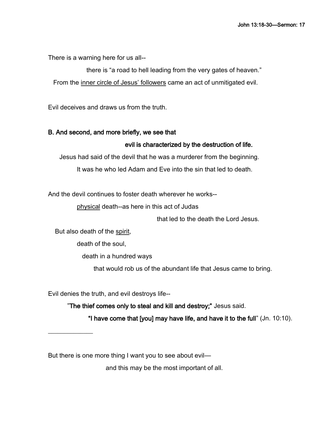There is a warning here for us all--

there is "a road to hell leading from the very gates of heaven." From the inner circle of Jesus' followers came an act of unmitigated evil.

Evil deceives and draws us from the truth.

#### B. And second, and more briefly, we see that

#### evil is characterized by the destruction of life.

Jesus had said of the devil that he was a murderer from the beginning.

It was he who led Adam and Eve into the sin that led to death.

And the devil continues to foster death wherever he works--

physical death--as here in this act of Judas

that led to the death the Lord Jesus.

But also death of the spirit,

 $\frac{1}{2}$ 

death of the soul,

death in a hundred ways

that would rob us of the abundant life that Jesus came to bring.

Evil denies the truth, and evil destroys life--

"The thief comes only to steal and kill and destroy;" Jesus said. "I have come that [you] may have life, and have it to the full" (Jn. 10:10).

But there is one more thing I want you to see about evil—

and this may be the most important of all.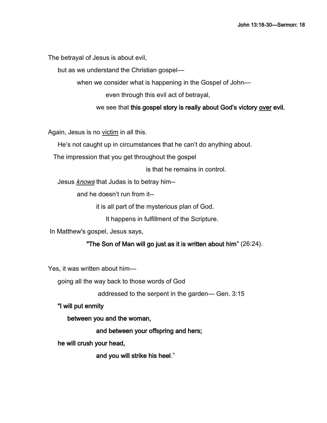The betrayal of Jesus is about evil,

but as we understand the Christian gospel—

when we consider what is happening in the Gospel of John-

even through this evil act of betrayal,

we see that this gospel story is really about God's victory over evil.

Again, Jesus is no victim in all this.

He's not caught up in circumstances that he can't do anything about.

The impression that you get throughout the gospel

is that he remains in control.

Jesus *knows* that Judas is to betray him--

and he doesn't run from it--

it is all part of the mysterious plan of God.

It happens in fulfillment of the Scripture.

In Matthew's gospel, Jesus says,

#### "The Son of Man will go just as it is written about him" (26:24).

Yes, it was written about him—

going all the way back to those words of God

addressed to the serpent in the garden— Gen. 3:15

"I will put enmity

between you and the woman,

and between your offspring and hers;

he will crush your head,

and you will strike his heel."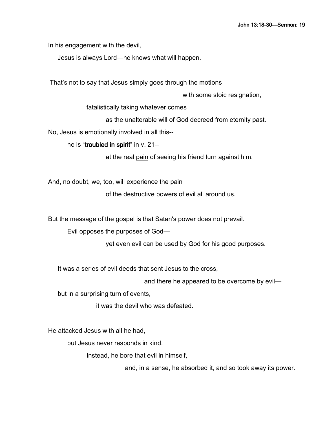In his engagement with the devil,

Jesus is always Lord—he knows what will happen.

That's not to say that Jesus simply goes through the motions

with some stoic resignation,

fatalistically taking whatever comes

as the unalterable will of God decreed from eternity past.

No, Jesus is emotionally involved in all this--

he is "troubled in spirit" in v. 21--

at the real pain of seeing his friend turn against him.

And, no doubt, we, too, will experience the pain

of the destructive powers of evil all around us.

But the message of the gospel is that Satan's power does not prevail.

Evil opposes the purposes of God—

yet even evil can be used by God for his good purposes.

It was a series of evil deeds that sent Jesus to the cross,

and there he appeared to be overcome by evil—

but in a surprising turn of events,

it was the devil who was defeated.

He attacked Jesus with all he had,

but Jesus never responds in kind.

Instead, he bore that evil in himself,

and, in a sense, he absorbed it, and so took away its power.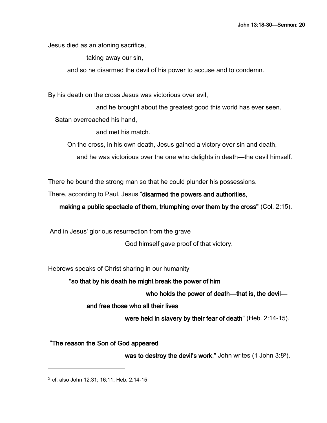Jesus died as an atoning sacrifice,

taking away our sin,

and so he disarmed the devil of his power to accuse and to condemn.

By his death on the cross Jesus was victorious over evil,

and he brought about the greatest good this world has ever seen.

Satan overreached his hand,

and met his match.

On the cross, in his own death, Jesus gained a victory over sin and death,

and he was victorious over the one who delights in death—the devil himself.

There he bound the strong man so that he could plunder his possessions.

There, according to Paul, Jesus "disarmed the powers and authorities,

making a public spectacle of them, triumphing over them by the cross" (Col. 2:15).

And in Jesus' glorious resurrection from the grave

God himself gave proof of that victory.

Hebrews speaks of Christ sharing in our humanity

"so that by his death he might break the power of him

who holds the power of death—that is, the devil—

and free those who all their lives

were held in slavery by their fear of death" (Heb. 2:14-15).

"The reason the Son of God appeared

was to destroy the devil's work," John writes (1 John 3:83).

<sup>3</sup> cf. also John 12:31; 16:11; Heb. 2:14-15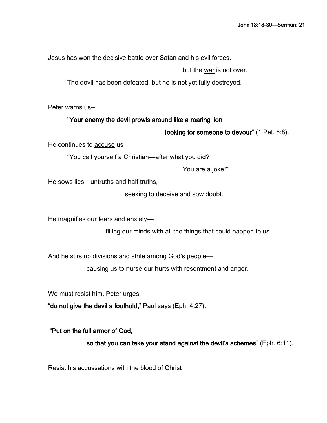Jesus has won the decisive battle over Satan and his evil forces.

but the war is not over.

The devil has been defeated, but he is not yet fully destroyed.

Peter warns us--

#### "Your enemy the devil prowls around like a roaring lion

looking for someone to devour" (1 Pet. 5:8).

He continues to accuse us—

"You call yourself a Christian—after what you did?

You are a joke!"

He sows lies—untruths and half truths,

seeking to deceive and sow doubt.

He magnifies our fears and anxiety—

filling our minds with all the things that could happen to us.

And he stirs up divisions and strife among God's people—

causing us to nurse our hurts with resentment and anger.

We must resist him, Peter urges.

"do not give the devil a foothold," Paul says (Eph. 4:27).

"Put on the full armor of God,

so that you can take your stand against the devil's schemes" (Eph. 6:11).

Resist his accussations with the blood of Christ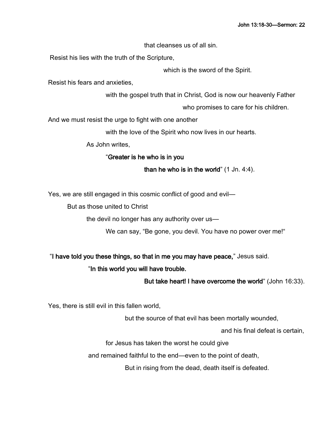that cleanses us of all sin.

Resist his lies with the truth of the Scripture,

which is the sword of the Spirit.

Resist his fears and anxieties,

with the gospel truth that in Christ, God is now our heavenly Father

who promises to care for his children.

And we must resist the urge to fight with one another

with the love of the Spirit who now lives in our hearts.

As John writes,

# "Greater is he who is in you

# than he who is in the world" (1 Jn. 4:4).

Yes, we are still engaged in this cosmic conflict of good and evil—

But as those united to Christ

the devil no longer has any authority over us—

We can say, "Be gone, you devil. You have no power over me!"

"I have told you these things, so that in me you may have peace," Jesus said.

# "In this world you will have trouble.

But take heart! I have overcome the world" (John 16:33).

Yes, there is still evil in this fallen world,

but the source of that evil has been mortally wounded,

and his final defeat is certain,

for Jesus has taken the worst he could give

and remained faithful to the end—even to the point of death,

But in rising from the dead, death itself is defeated.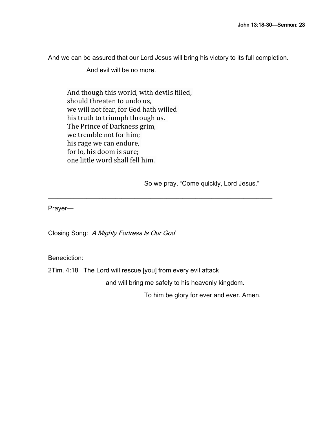And we can be assured that our Lord Jesus will bring his victory to its full completion.

And evil will be no more.

And though this world, with devils filled, should threaten to undo us, we will not fear, for God hath willed his truth to triumph through us. The Prince of Darkness grim, we tremble not for him; his rage we can endure, for lo, his doom is sure; one little word shall fell him.

So we pray, "Come quickly, Lord Jesus."

Prayer—

Closing Song: A Mighty Fortress Is Our God

Benediction:

2Tim. 4:18 The Lord will rescue [you] from every evil attack

and will bring me safely to his heavenly kingdom.

 $\_$  , and the set of the set of the set of the set of the set of the set of the set of the set of the set of the set of the set of the set of the set of the set of the set of the set of the set of the set of the set of th

To him be glory for ever and ever. Amen.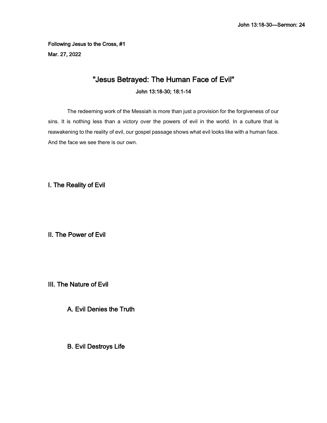Following Jesus to the Cross, #1 Mar. 27, 2022

# "Jesus Betrayed: The Human Face of Evil" John 13:18-30; 18:1-14

The redeeming work of the Messiah is more than just a provision for the forgiveness of our sins. It is nothing less than a victory over the powers of evil in the world. In a culture that is reawakening to the reality of evil, our gospel passage shows what evil looks like with a human face. And the face we see there is our own.

I. The Reality of Evil

II. The Power of Evil

III. The Nature of Evil

A. Evil Denies the Truth

B. Evil Destroys Life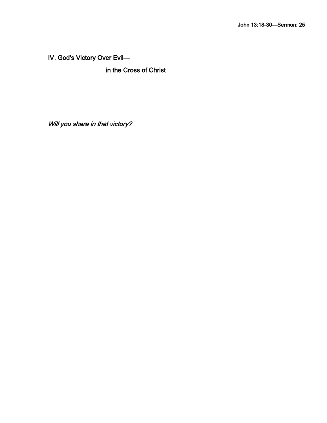IV. God's Victory Over Evil—

in the Cross of Christ

Will you share in that victory?